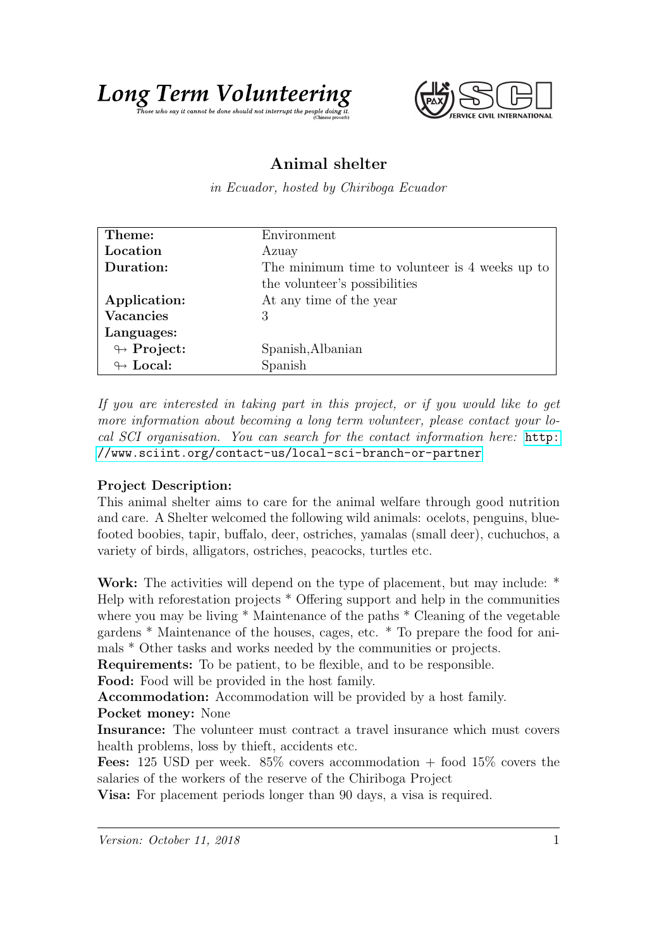



## Animal shelter

in Ecuador, hosted by Chiriboga Ecuador

| Theme:                     | Environment                                    |
|----------------------------|------------------------------------------------|
| Location                   | Azuay                                          |
| Duration:                  | The minimum time to volunteer is 4 weeks up to |
|                            | the volunteer's possibilities                  |
| Application:               | At any time of the year                        |
| <b>Vacancies</b>           | 3                                              |
| Languages:                 |                                                |
| $\looparrowright$ Project: | Spanish, Albanian                              |
| $\leftrightarrow$ Local:   | Spanish                                        |

If you are interested in taking part in this project, or if you would like to get more information about becoming a long term volunteer, please contact your local SCI organisation. You can search for the contact information here: [http:](http://www.sciint.org/contact-us/local-sci-branch-or-partner) [//www.sciint.org/contact-us/local-sci-branch-or-partner](http://www.sciint.org/contact-us/local-sci-branch-or-partner)

## Project Description:

This animal shelter aims to care for the animal welfare through good nutrition and care. A Shelter welcomed the following wild animals: ocelots, penguins, bluefooted boobies, tapir, buffalo, deer, ostriches, yamalas (small deer), cuchuchos, a variety of birds, alligators, ostriches, peacocks, turtles etc.

Work: The activities will depend on the type of placement, but may include: \* Help with reforestation projects \* Offering support and help in the communities where you may be living \* Maintenance of the paths \* Cleaning of the vegetable gardens \* Maintenance of the houses, cages, etc. \* To prepare the food for animals \* Other tasks and works needed by the communities or projects.

Requirements: To be patient, to be flexible, and to be responsible.

Food: Food will be provided in the host family.

Accommodation: Accommodation will be provided by a host family.

Pocket money: None

Insurance: The volunteer must contract a travel insurance which must covers health problems, loss by thieft, accidents etc.

**Fees:** 125 USD per week.  $85\%$  covers accommodation  $+$  food 15% covers the salaries of the workers of the reserve of the Chiriboga Project

Visa: For placement periods longer than 90 days, a visa is required.

Version: October 11, 2018 1